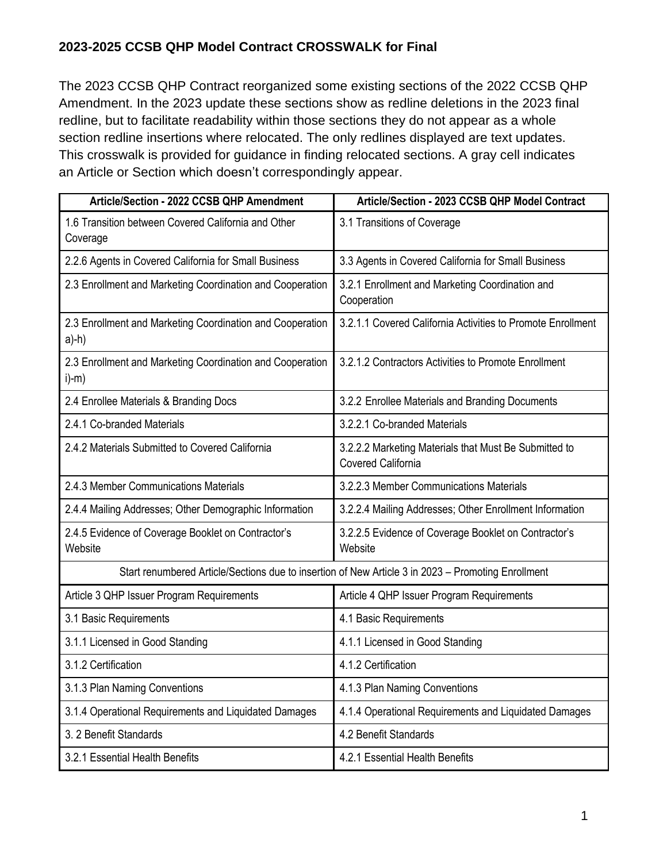The 2023 CCSB QHP Contract reorganized some existing sections of the 2022 CCSB QHP Amendment. In the 2023 update these sections show as redline deletions in the 2023 final redline, but to facilitate readability within those sections they do not appear as a whole section redline insertions where relocated. The only redlines displayed are text updates. This crosswalk is provided for guidance in finding relocated sections. A gray cell indicates an Article or Section which doesn't correspondingly appear.

| Article/Section - 2022 CCSB QHP Amendment                                                          | Article/Section - 2023 CCSB QHP Model Contract                                     |  |
|----------------------------------------------------------------------------------------------------|------------------------------------------------------------------------------------|--|
| 1.6 Transition between Covered California and Other<br>Coverage                                    | 3.1 Transitions of Coverage                                                        |  |
| 2.2.6 Agents in Covered California for Small Business                                              | 3.3 Agents in Covered California for Small Business                                |  |
| 2.3 Enrollment and Marketing Coordination and Cooperation                                          | 3.2.1 Enrollment and Marketing Coordination and<br>Cooperation                     |  |
| 2.3 Enrollment and Marketing Coordination and Cooperation<br>$a)$ -h $)$                           | 3.2.1.1 Covered California Activities to Promote Enrollment                        |  |
| 2.3 Enrollment and Marketing Coordination and Cooperation<br>$i)$ -m $)$                           | 3.2.1.2 Contractors Activities to Promote Enrollment                               |  |
| 2.4 Enrollee Materials & Branding Docs                                                             | 3.2.2 Enrollee Materials and Branding Documents                                    |  |
| 2.4.1 Co-branded Materials                                                                         | 3.2.2.1 Co-branded Materials                                                       |  |
| 2.4.2 Materials Submitted to Covered California                                                    | 3.2.2.2 Marketing Materials that Must Be Submitted to<br><b>Covered California</b> |  |
| 2.4.3 Member Communications Materials                                                              | 3.2.2.3 Member Communications Materials                                            |  |
| 2.4.4 Mailing Addresses; Other Demographic Information                                             | 3.2.2.4 Mailing Addresses; Other Enrollment Information                            |  |
| 2.4.5 Evidence of Coverage Booklet on Contractor's<br>Website                                      | 3.2.2.5 Evidence of Coverage Booklet on Contractor's<br>Website                    |  |
| Start renumbered Article/Sections due to insertion of New Article 3 in 2023 - Promoting Enrollment |                                                                                    |  |
| Article 3 QHP Issuer Program Requirements                                                          | Article 4 QHP Issuer Program Requirements                                          |  |
| 3.1 Basic Requirements                                                                             | 4.1 Basic Requirements                                                             |  |
| 3.1.1 Licensed in Good Standing                                                                    | 4.1.1 Licensed in Good Standing                                                    |  |
| 3.1.2 Certification                                                                                | 4.1.2 Certification                                                                |  |
| 3.1.3 Plan Naming Conventions                                                                      | 4.1.3 Plan Naming Conventions                                                      |  |
| 3.1.4 Operational Requirements and Liquidated Damages                                              | 4.1.4 Operational Requirements and Liquidated Damages                              |  |
| 3. 2 Benefit Standards                                                                             | 4.2 Benefit Standards                                                              |  |
| 3.2.1 Essential Health Benefits                                                                    | 4.2.1 Essential Health Benefits                                                    |  |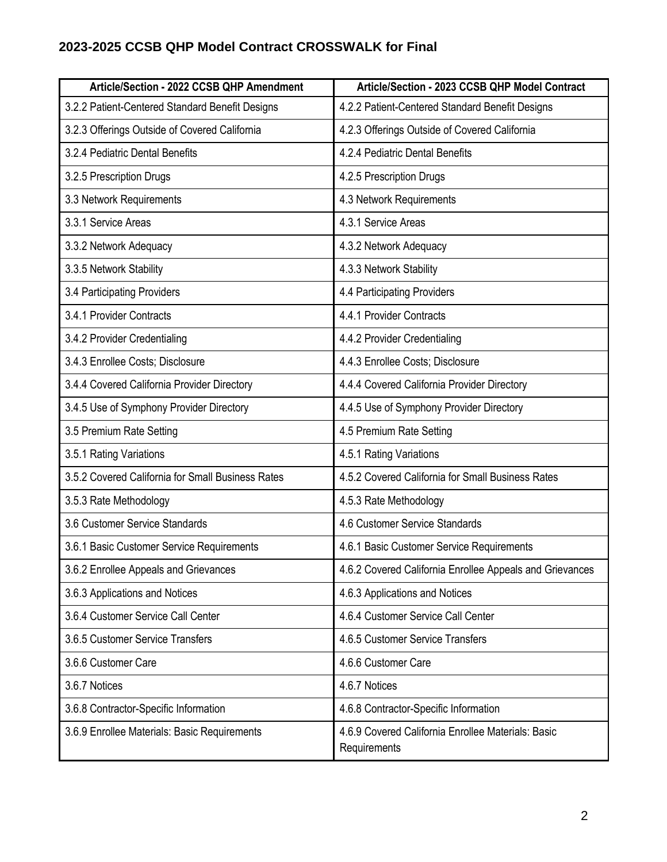| Article/Section - 2022 CCSB QHP Amendment         | Article/Section - 2023 CCSB QHP Model Contract                     |
|---------------------------------------------------|--------------------------------------------------------------------|
| 3.2.2 Patient-Centered Standard Benefit Designs   | 4.2.2 Patient-Centered Standard Benefit Designs                    |
| 3.2.3 Offerings Outside of Covered California     | 4.2.3 Offerings Outside of Covered California                      |
| 3.2.4 Pediatric Dental Benefits                   | 4.2.4 Pediatric Dental Benefits                                    |
| 3.2.5 Prescription Drugs                          | 4.2.5 Prescription Drugs                                           |
| 3.3 Network Requirements                          | 4.3 Network Requirements                                           |
| 3.3.1 Service Areas                               | 4.3.1 Service Areas                                                |
| 3.3.2 Network Adequacy                            | 4.3.2 Network Adequacy                                             |
| 3.3.5 Network Stability                           | 4.3.3 Network Stability                                            |
| 3.4 Participating Providers                       | 4.4 Participating Providers                                        |
| 3.4.1 Provider Contracts                          | 4.4.1 Provider Contracts                                           |
| 3.4.2 Provider Credentialing                      | 4.4.2 Provider Credentialing                                       |
| 3.4.3 Enrollee Costs; Disclosure                  | 4.4.3 Enrollee Costs; Disclosure                                   |
| 3.4.4 Covered California Provider Directory       | 4.4.4 Covered California Provider Directory                        |
| 3.4.5 Use of Symphony Provider Directory          | 4.4.5 Use of Symphony Provider Directory                           |
| 3.5 Premium Rate Setting                          | 4.5 Premium Rate Setting                                           |
| 3.5.1 Rating Variations                           | 4.5.1 Rating Variations                                            |
| 3.5.2 Covered California for Small Business Rates | 4.5.2 Covered California for Small Business Rates                  |
| 3.5.3 Rate Methodology                            | 4.5.3 Rate Methodology                                             |
| 3.6 Customer Service Standards                    | 4.6 Customer Service Standards                                     |
| 3.6.1 Basic Customer Service Requirements         | 4.6.1 Basic Customer Service Requirements                          |
| 3.6.2 Enrollee Appeals and Grievances             | 4.6.2 Covered California Enrollee Appeals and Grievances           |
| 3.6.3 Applications and Notices                    | 4.6.3 Applications and Notices                                     |
| 3.6.4 Customer Service Call Center                | 4.6.4 Customer Service Call Center                                 |
| 3.6.5 Customer Service Transfers                  | 4.6.5 Customer Service Transfers                                   |
| 3.6.6 Customer Care                               | 4.6.6 Customer Care                                                |
| 3.6.7 Notices                                     | 4.6.7 Notices                                                      |
| 3.6.8 Contractor-Specific Information             | 4.6.8 Contractor-Specific Information                              |
| 3.6.9 Enrollee Materials: Basic Requirements      | 4.6.9 Covered California Enrollee Materials: Basic<br>Requirements |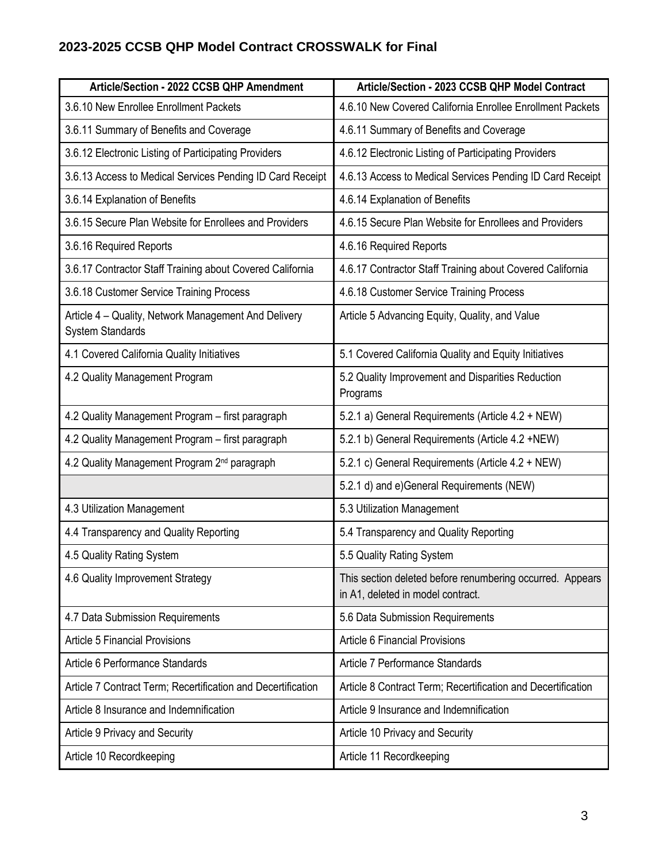| Article/Section - 2022 CCSB QHP Amendment                                       | Article/Section - 2023 CCSB QHP Model Contract                                                 |
|---------------------------------------------------------------------------------|------------------------------------------------------------------------------------------------|
| 3.6.10 New Enrollee Enrollment Packets                                          | 4.6.10 New Covered California Enrollee Enrollment Packets                                      |
| 3.6.11 Summary of Benefits and Coverage                                         | 4.6.11 Summary of Benefits and Coverage                                                        |
| 3.6.12 Electronic Listing of Participating Providers                            | 4.6.12 Electronic Listing of Participating Providers                                           |
| 3.6.13 Access to Medical Services Pending ID Card Receipt                       | 4.6.13 Access to Medical Services Pending ID Card Receipt                                      |
| 3.6.14 Explanation of Benefits                                                  | 4.6.14 Explanation of Benefits                                                                 |
| 3.6.15 Secure Plan Website for Enrollees and Providers                          | 4.6.15 Secure Plan Website for Enrollees and Providers                                         |
| 3.6.16 Required Reports                                                         | 4.6.16 Required Reports                                                                        |
| 3.6.17 Contractor Staff Training about Covered California                       | 4.6.17 Contractor Staff Training about Covered California                                      |
| 3.6.18 Customer Service Training Process                                        | 4.6.18 Customer Service Training Process                                                       |
| Article 4 – Quality, Network Management And Delivery<br><b>System Standards</b> | Article 5 Advancing Equity, Quality, and Value                                                 |
| 4.1 Covered California Quality Initiatives                                      | 5.1 Covered California Quality and Equity Initiatives                                          |
| 4.2 Quality Management Program                                                  | 5.2 Quality Improvement and Disparities Reduction<br>Programs                                  |
| 4.2 Quality Management Program - first paragraph                                | 5.2.1 a) General Requirements (Article 4.2 + NEW)                                              |
| 4.2 Quality Management Program - first paragraph                                | 5.2.1 b) General Requirements (Article 4.2 +NEW)                                               |
| 4.2 Quality Management Program 2 <sup>nd</sup> paragraph                        | 5.2.1 c) General Requirements (Article 4.2 + NEW)                                              |
|                                                                                 | 5.2.1 d) and e) General Requirements (NEW)                                                     |
| 4.3 Utilization Management                                                      | 5.3 Utilization Management                                                                     |
| 4.4 Transparency and Quality Reporting                                          | 5.4 Transparency and Quality Reporting                                                         |
| 4.5 Quality Rating System                                                       | 5.5 Quality Rating System                                                                      |
| 4.6 Quality Improvement Strategy                                                | This section deleted before renumbering occurred. Appears<br>in A1, deleted in model contract. |
| 4.7 Data Submission Requirements                                                | 5.6 Data Submission Requirements                                                               |
| <b>Article 5 Financial Provisions</b>                                           | <b>Article 6 Financial Provisions</b>                                                          |
| Article 6 Performance Standards                                                 | Article 7 Performance Standards                                                                |
| Article 7 Contract Term; Recertification and Decertification                    | Article 8 Contract Term; Recertification and Decertification                                   |
| Article 8 Insurance and Indemnification                                         | Article 9 Insurance and Indemnification                                                        |
| Article 9 Privacy and Security                                                  | Article 10 Privacy and Security                                                                |
| Article 10 Recordkeeping                                                        | Article 11 Recordkeeping                                                                       |